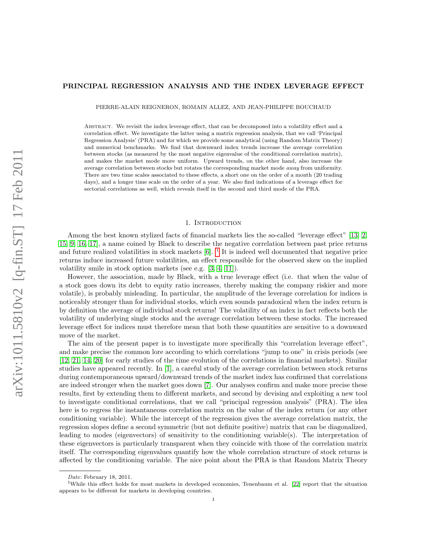### PRINCIPAL REGRESSION ANALYSIS AND THE INDEX LEVERAGE EFFECT

PIERRE-ALAIN REIGNERON, ROMAIN ALLEZ, AND JEAN-PHILIPPE BOUCHAUD

Abstract. We revisit the index leverage effect, that can be decomposed into a volatility effect and a correlation effect. We investigate the latter using a matrix regression analysis, that we call 'Principal Regression Analysis' (PRA) and for which we provide some analytical (using Random Matrix Theory) and numerical benchmarks. We find that downward index trends increase the average correlation between stocks (as measured by the most negative eigenvalue of the conditional correlation matrix), and makes the market mode more uniform. Upward trends, on the other hand, also increase the average correlation between stocks but rotates the corresponding market mode away from uniformity. There are two time scales associated to these effects, a short one on the order of a month (20 trading days), and a longer time scale on the order of a year. We also find indications of a leverage effect for sectorial correlations as well, which reveals itself in the second and third mode of the PRA.

## 1. INTRODUCTION

Among the best known stylized facts of financial markets lies the so-called "leverage effect" [\[13,](#page-11-0) [2,](#page-11-1) [15,](#page-11-2) [9,](#page-11-3) [16,](#page-11-4) [17\]](#page-11-5), a name coined by Black to describe the negative correlation between past price returns and future realized volatilities in stock markets  $[6]$ . <sup>[1](#page-0-0)</sup> It is indeed well documented that negative price returns induce increased future volatilities, an effect responsible for the observed skew on the implied volatility smile in stock option markets (see e.g. [\[3,](#page-11-7) [4,](#page-11-8) [11\]](#page-11-9)).

However, the association, made by Black, with a true leverage effect (i.e. that when the value of a stock goes down its debt to equity ratio increases, thereby making the company riskier and more volatile), is probably misleading. In particular, the amplitude of the leverage correlation for indices is noticeably stronger than for individual stocks, which even sounds paradoxical when the index return is by definition the average of individual stock returns! The volatility of an index in fact reflects both the volatility of underlying single stocks and the average correlation between these stocks. The increased leverage effect for indices must therefore mean that both these quantities are sensitive to a downward move of the market.

The aim of the present paper is to investigate more specifically this "correlation leverage effect", and make precise the common lore according to which correlations "jump to one" in crisis periods (see [\[12,](#page-11-10) [21,](#page-11-11) [14,](#page-11-12) [20\]](#page-11-13) for early studies of the time evolution of the correlations in financial markets). Similar studies have appeared recently. In [\[1\]](#page-11-14), a careful study of the average correlation between stock returns during contemporaneous upward/downward trends of the market index has confirmed that correlations are indeed stronger when the market goes down [\[7\]](#page-11-15). Our analyses confirm and make more precise these results, first by extending them to different markets, and second by devising and exploiting a new tool to investigate conditional correlations, that we call "principal regression analysis" (PRA). The idea here is to regress the instantaneous correlation matrix on the value of the index return (or any other conditioning variable). While the intercept of the regression gives the average correlation matrix, the regression slopes define a second symmetric (but not definite positive) matrix that can be diagonalized, leading to modes (eigenvectors) of sensitivity to the conditioning variable(s). The interpretation of these eigenvectors is particularly transparent when they coincide with those of the correlation matrix itself. The corresponding eigenvalues quantify how the whole correlation structure of stock returns is affected by the conditioning variable. The nice point about the PRA is that Random Matrix Theory

<span id="page-0-0"></span>Date: February 18, 2011.

<sup>&</sup>lt;sup>1</sup>While this effect holds for most markets in developed economies, Tenenbaum et al. [\[22\]](#page-11-16) report that the situation appears to be different for markets in developing countries.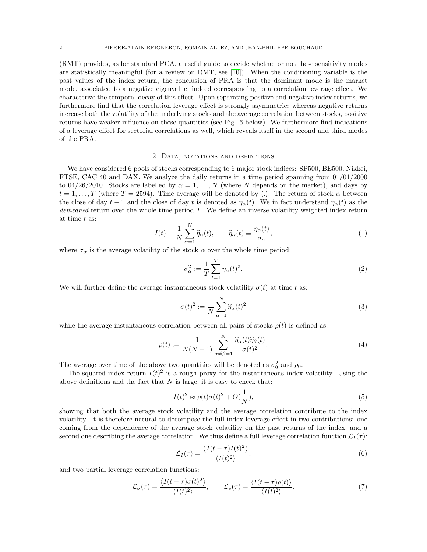(RMT) provides, as for standard PCA, a useful guide to decide whether or not these sensitivity modes are statistically meaningful (for a review on RMT, see [\[10\]](#page-11-17)). When the conditioning variable is the past values of the index return, the conclusion of PRA is that the dominant mode is the market mode, associated to a negative eigenvalue, indeed corresponding to a correlation leverage effect. We characterize the temporal decay of this effect. Upon separating positive and negative index returns, we furthermore find that the correlation leverage effect is strongly asymmetric: whereas negative returns increase both the volatility of the underlying stocks and the average correlation between stocks, positive returns have weaker influence on these quantities (see Fig. 6 below). We furthermore find indications of a leverage effect for sectorial correlations as well, which reveals itself in the second and third modes of the PRA.

#### 2. Data, notations and definitions

We have considered 6 pools of stocks corresponding to 6 major stock indices: SP500, BE500, Nikkei, FTSE, CAC 40 and DAX. We analyze the daily returns in a time period spanning from 01/01/2000 to 04/26/2010. Stocks are labelled by  $\alpha = 1, \ldots, N$  (where N depends on the market), and days by  $t = 1, \ldots, T$  (where  $T = 2594$ ). Time average will be denoted by  $\langle \cdot \rangle$ . The return of stock  $\alpha$  between the close of day  $t-1$  and the close of day t is denoted as  $\eta_{\alpha}(t)$ . We in fact understand  $\eta_{\alpha}(t)$  as the demeaned return over the whole time period  $T$ . We define an inverse volatility weighted index return at time t as:

$$
I(t) = \frac{1}{N} \sum_{\alpha=1}^{N} \widehat{\eta}_{\alpha}(t), \qquad \widehat{\eta}_{\alpha}(t) \equiv \frac{\eta_{\alpha}(t)}{\sigma_{\alpha}}, \qquad (1)
$$

where  $\sigma_{\alpha}$  is the average volatility of the stock  $\alpha$  over the whole time period:

$$
\sigma_{\alpha}^2 := \frac{1}{T} \sum_{t=1}^T \eta_{\alpha}(t)^2.
$$
\n
$$
(2)
$$

We will further define the average instantaneous stock volatility  $\sigma(t)$  at time t as:

$$
\sigma(t)^2 := \frac{1}{N} \sum_{\alpha=1}^N \widehat{\eta}_{\alpha}(t)^2
$$
\n(3)

while the average instantaneous correlation between all pairs of stocks  $\rho(t)$  is defined as:

$$
\rho(t) := \frac{1}{N(N-1)} \sum_{\alpha \neq \beta=1}^{N} \frac{\widehat{\eta}_{\alpha}(t)\widehat{\eta}_{\beta}(t)}{\sigma(t)^2}.
$$
\n(4)

The average over time of the above two quantities will be denoted as  $\sigma_0^2$  and  $\rho_0$ .

The squared index return  $I(t)^2$  is a rough proxy for the instantaneous index volatility. Using the above definitions and the fact that  $N$  is large, it is easy to check that:

$$
I(t)^{2} \approx \rho(t)\sigma(t)^{2} + O(\frac{1}{N}),
$$
\n(5)

showing that both the average stock volatility and the average correlation contribute to the index volatility. It is therefore natural to decompose the full index leverage effect in two contributions: one coming from the dependence of the average stock volatility on the past returns of the index, and a second one describing the average correlation. We thus define a full leverage correlation function  $\mathcal{L}_I(\tau)$ :

$$
\mathcal{L}_I(\tau) = \frac{\langle I(t-\tau)I(t)^2 \rangle}{\langle I(t)^2 \rangle},\tag{6}
$$

and two partial leverage correlation functions:

$$
\mathcal{L}_{\sigma}(\tau) = \frac{\langle I(t-\tau)\sigma(t)^2 \rangle}{\langle I(t)^2 \rangle}, \qquad \mathcal{L}_{\rho}(\tau) = \frac{\langle I(t-\tau)\rho(t) \rangle}{\langle I(t)^2 \rangle}.
$$
\n(7)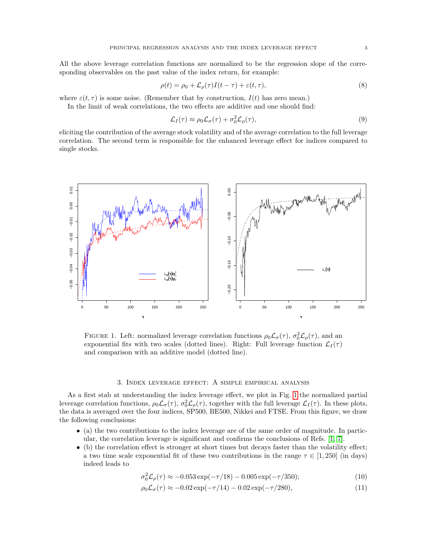All the above leverage correlation functions are normalized to be the regression slope of the corresponding observables on the past value of the index return, for example:

<span id="page-2-2"></span>
$$
\rho(t) = \rho_0 + \mathcal{L}_{\rho}(\tau)I(t - \tau) + \varepsilon(t, \tau),\tag{8}
$$

where  $\varepsilon(t, \tau)$  is some noise. (Remember that by construction,  $I(t)$  has zero mean.)

In the limit of weak correlations, the two effects are additive and one should find:

<span id="page-2-1"></span>
$$
\mathcal{L}_I(\tau) \approx \rho_0 \mathcal{L}_\sigma(\tau) + \sigma_0^2 \mathcal{L}_\rho(\tau),\tag{9}
$$

eliciting the contribution of the average stock volatility and of the average correlation to the full leverage correlation. The second term is responsible for the enhanced leverage effect for indices compared to single stocks.



<span id="page-2-0"></span>FIGURE 1. Left: normalized leverage correlation functions  $\rho_0 \mathcal{L}_{\sigma}(\tau)$ ,  $\sigma_0^2 \mathcal{L}_{\rho}(\tau)$ , and an exponential fits with two scales (dotted lines). Right: Full leverage function  $\mathcal{L}_I(\tau)$ and comparison with an additive model (dotted line).

### 3. Index leverage effect: A simple empirical analysis

As a first stab at understanding the index leverage effect, we plot in Fig. [1](#page-2-0) the normalized partial leverage correlation functions,  $\rho_0 \mathcal{L}_\sigma(\tau)$ ,  $\sigma_0^2 \mathcal{L}_\rho(\tau)$ , together with the full leverage  $\mathcal{L}_I(\tau)$ . In these plots, the data is averaged over the four indices, SP500, BE500, Nikkei and FTSE. From this figure, we draw the following conclusions:

- (a) the two contributions to the index leverage are of the same order of magnitude. In particular, the correlation leverage is significant and confirms the conclusions of Refs. [\[1,](#page-11-14) [7\]](#page-11-15).
- (b) the correlation effect is stronger at short times but decays faster than the volatility effect; a two time scale exponential fit of these two contributions in the range  $\tau \in [1, 250]$  (in days) indeed leads to

$$
\sigma_0^2 \mathcal{L}_\rho(\tau) \approx -0.053 \exp(-\tau/18) - 0.005 \exp(-\tau/350); \tag{10}
$$

$$
\rho_0 \mathcal{L}_\sigma(\tau) \approx -0.02 \exp(-\tau/14) - 0.02 \exp(-\tau/280),\tag{11}
$$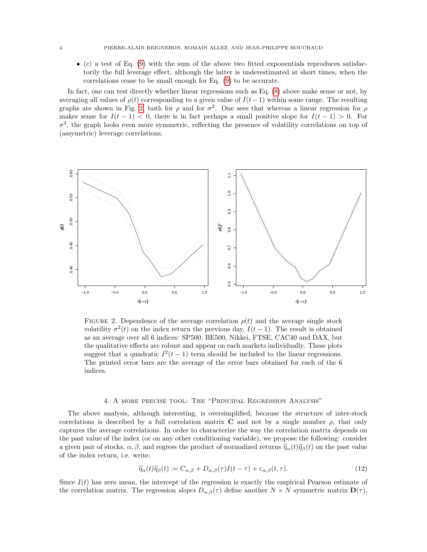$\bullet$  (c) a test of Eq. [\(9\)](#page-2-1) with the sum of the above two fitted exponentials reproduces satisfactorily the full leverage effect, although the latter is underestimated at short times, when the correlations cease to be small enough for Eq. [\(9\)](#page-2-1) to be accurate.

In fact, one can test directly whether linear regressions such as Eq. [\(8\)](#page-2-2) above make sense or not, by averaging all values of  $\rho(t)$  corresponding to a given value of  $I(t-1)$  within some range. The resulting graphs are shown in Fig. [2,](#page-3-0) both for  $\rho$  and for  $\sigma^2$ . One sees that whereas a linear regression for  $\rho$ makes sense for  $I(t-1) < 0$ , there is in fact perhaps a small positive slope for  $I(t-1) > 0$ . For  $\sigma^2$ , the graph looks even more symmetric, reflecting the presence of volatility correlations on top of (assymetric) leverage correlations.



<span id="page-3-0"></span>FIGURE 2. Dependence of the average correlation  $\rho(t)$  and the average single stock volatility  $\sigma^2(t)$  on the index return the previous day,  $I(t-1)$ . The result is obtained as an average over all 6 indices: SP500, BE500, Nikkei, FTSE, CAC40 and DAX, but the qualitative effects are robust and appear on each markets individually. These plots suggest that a quadratic  $I^2(t-1)$  term should be included to the linear regressions. The printed error bars are the average of the error bars obtained for each of the 6 indices.

### 4. A more precise tool: The "Principal Regression Analysis"

The above analysis, although interesting, is oversimplified, because the structure of inter-stock correlations is described by a full correlation matrix C and not by a single number  $\rho$ , that only captures the average correlations. In order to characterize the way the correlation matrix depends on the past value of the index (or on any other conditioning variable), we propose the following: consider a given pair of stocks,  $\alpha, \beta$ , and regress the product of normalized returns  $\hat{\eta}_{\alpha}(t)\hat{\eta}_{\beta}(t)$  on the past value of the index return, i.e. write:

$$
\widehat{\eta}_{\alpha}(t)\widehat{\eta}_{\beta}(t) := C_{\alpha,\beta} + D_{\alpha,\beta}(\tau)I(t-\tau) + \varepsilon_{\alpha,\beta}(t,\tau). \tag{12}
$$

Since  $I(t)$  has zero mean, the intercept of the regression is exactly the empirical Pearson estimate of the correlation matrix. The regression slopes  $D_{\alpha,\beta}(\tau)$  define another  $N \times N$  symmetric matrix  $\mathbf{D}(\tau)$ ,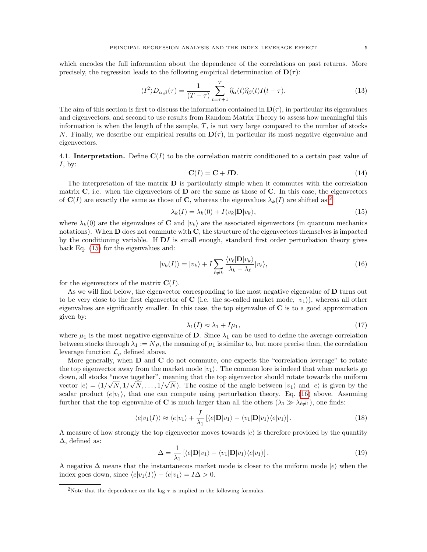which encodes the full information about the dependence of the correlations on past returns. More precisely, the regression leads to the following empirical determination of  $\mathbf{D}(\tau)$ :

<span id="page-4-3"></span>
$$
\langle I^2 \rangle D_{\alpha,\beta}(\tau) = \frac{1}{(T-\tau)} \sum_{t=\tau+1}^T \hat{\eta}_{\alpha}(t) \hat{\eta}_{\beta}(t) I(t-\tau). \tag{13}
$$

The aim of this section is first to discuss the information contained in  $\mathbf{D}(\tau)$ , in particular its eigenvalues and eigenvectors, and second to use results from Random Matrix Theory to assess how meaningful this information is when the length of the sample,  $T$ , is not very large compared to the number of stocks N. Finally, we describe our empirical results on  $\mathbf{D}(\tau)$ , in particular its most negative eigenvalue and eigenvectors.

4.1. Interpretation. Define  $C(I)$  to be the correlation matrix conditioned to a certain past value of  $I, \text{ by:}$ 

$$
\mathbf{C}(I) = \mathbf{C} + I\mathbf{D}.\tag{14}
$$

The interpretation of the matrix  $\bf{D}$  is particularly simple when it commutes with the correlation matrix  $C$ , i.e. when the eigenvectors of  $D$  are the same as those of  $C$ . In this case, the eigenvectors of  $\mathbf{C}(I)$  are exactly the same as those of C, whereas the eigenvalues  $\lambda_k(I)$  are shifted as:<sup>[2](#page-4-0)</sup>

<span id="page-4-1"></span>
$$
\lambda_k(I) = \lambda_k(0) + I \langle v_k | \mathbf{D} | v_k \rangle,
$$
\n(15)

where  $\lambda_k(0)$  are the eigenvalues of **C** and  $|v_k\rangle$  are the associated eigenvectors (in quantum mechanics notations). When  **does not commute with**  $**C**$ **, the structure of the eigenvectors themselves is impacted** by the conditioning variable. If  $DI$  is small enough, standard first order perturbation theory gives back Eq. [\(15\)](#page-4-1) for the eigenvalues and:

<span id="page-4-2"></span>
$$
|v_k(I)\rangle = |v_k\rangle + I \sum_{\ell \neq k} \frac{\langle v_\ell | \mathbf{D} | v_k \rangle}{\lambda_k - \lambda_\ell} |v_\ell\rangle, \tag{16}
$$

for the eigenvectors of the matrix  $C(I)$ .

As we will find below, the eigenvector corresponding to the most negative eigenvalue of **D** turns out to be very close to the first eigenvector of C (i.e. the so-called market mode,  $|v_1\rangle$ ), whereas all other eigenvalues are significantly smaller. In this case, the top eigenvalue of  $C$  is to a good approximation given by:

<span id="page-4-4"></span>
$$
\lambda_1(I) \approx \lambda_1 + I\mu_1,\tag{17}
$$

where  $\mu_1$  is the most negative eigenvalue of **D**. Since  $\lambda_1$  can be used to define the average correlation between stocks through  $\lambda_1 := N\rho$ , the meaning of  $\mu_1$  is similar to, but more precise than, the correlation leverage function  $\mathcal{L}_{\rho}$  defined above.

More generally, when **D** and **C** do not commute, one expects the "correlation leverage" to rotate the top eigenvector away from the market mode  $|v_1\rangle$ . The common lore is indeed that when markets go down, all stocks "move together", meaning that the top eigenvector should rotate towards the uniform vector  $|e\rangle = (1/\sqrt{N}, 1/\sqrt{N}, \ldots, 1/\sqrt{N})$ . The cosine of the angle between  $|v_1\rangle$  and  $|e\rangle$  is given by the scalar product  $\langle e|v_1\rangle$ , that one can compute using perturbation theory. Eq. [\(16\)](#page-4-2) above. Assuming further that the top eigenvalue of **C** is much larger than all the others  $(\lambda_1 \gg \lambda_{\ell \neq 1})$ , one finds:

$$
\langle e|v_1(I)\rangle \approx \langle e|v_1\rangle + \frac{I}{\lambda_1} \left[\langle e|\mathbf{D}|v_1\rangle - \langle v_1|\mathbf{D}|v_1\rangle\langle e|v_1\rangle\right].\tag{18}
$$

A measure of how strongly the top eigenvector moves towards  $|e\rangle$  is therefore provided by the quantity ∆, defined as:

$$
\Delta = \frac{1}{\lambda_1} \left[ \langle e | \mathbf{D} | v_1 \rangle - \langle v_1 | \mathbf{D} | v_1 \rangle \langle e | v_1 \rangle \right]. \tag{19}
$$

A negative  $\Delta$  means that the instantaneous market mode is closer to the uniform mode  $|e\rangle$  when the index goes down, since  $\langle e|v_1(I)\rangle - \langle e|v_1\rangle = I\Delta > 0.$ 

<span id="page-4-0"></span><sup>&</sup>lt;sup>2</sup>Note that the dependence on the lag  $\tau$  is implied in the following formulas.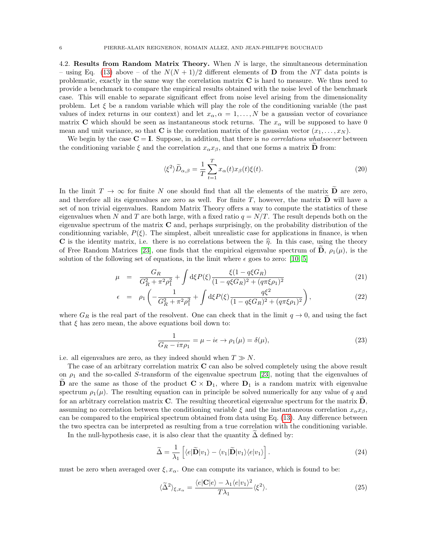4.2. Results from Random Matrix Theory. When N is large, the simultaneous determination – using Eq. [\(13\)](#page-4-3) above – of the  $N(N+1)/2$  different elements of **D** from the NT data points is problematic, exactly in the same way the correlation matrix C is hard to measure. We thus need to provide a benchmark to compare the empirical results obtained with the noise level of the benchmark case. This will enable to separate significant effect from noise level arising from the dimensionality problem. Let  $\xi$  be a random variable which will play the role of the conditioning variable (the past values of index returns in our context) and let  $x_{\alpha}, \alpha = 1, \ldots, N$  be a gaussian vector of covariance matrix C which should be seen as instantaneous stock returns. The  $x_{\alpha}$  will be supposed to have 0 mean and unit variance, so that **C** is the correlation matrix of the gaussian vector  $(x_1, \ldots, x_N)$ .

We begin by the case  $C = I$ . Suppose, in addition, that there is no correlations whatsoever between the conditioning variable  $\xi$  and the correlation  $x_{\alpha}x_{\beta}$ , and that one forms a matrix **D** from:

$$
\langle \xi^2 \rangle \widetilde{D}_{\alpha,\beta} = \frac{1}{T} \sum_{t=1}^T x_\alpha(t) x_\beta(t) \xi(t). \tag{20}
$$

In the limit  $T \to \infty$  for finite N one should find that all the elements of the matrix  $\overrightarrow{D}$  are zero, and therefore all its eigenvalues are zero as well. For finite T, however, the matrix  $\overline{D}$  will have a set of non trivial eigenvalues. Random Matrix Theory offers a way to compute the statistics of these eigenvalues when N and T are both large, with a fixed ratio  $q = N/T$ . The result depends both on the eigenvalue spectrum of the matrix  $C$  and, perhaps surprisingly, on the probability distribution of the conditionning variable,  $P(\xi)$ . The simplest, albeit unrealistic case for applications in finance, is when **C** is the identity matrix, i.e. there is no correlations between the  $\hat{\eta}$ . In this case, using the theory of Free Random Matrices [\[23\]](#page-11-18), one finds that the empirical eigenvalue spectrum of  $\mathbf{D}$ ,  $\rho_1(\mu)$ , is the solution of the following set of equations, in the limit where  $\epsilon$  goes to zero: [\[10,](#page-11-17) [5\]](#page-11-19)

$$
= \frac{G_R}{G_R^2 + \pi^2 \rho_1^2} + \int d\xi P(\xi) \frac{\xi (1 - q \xi G_R)}{(1 - q \xi G_R)^2 + (q \pi \xi \rho_1)^2}
$$
(21)

$$
\epsilon = \rho_1 \left( -\frac{1}{G_R^2 + \pi^2 \rho_1^2} + \int d\xi P(\xi) \frac{q\xi^2}{(1 - q\xi G_R)^2 + (q\pi\xi \rho_1)^2} \right),\tag{22}
$$

where  $G_R$  is the real part of the resolvent. One can check that in the limit  $q \to 0$ , and using the fact that  $\xi$  has zero mean, the above equations boil down to:

$$
\frac{1}{G_R - i\pi \rho_1} = \mu - i\epsilon \to \rho_1(\mu) = \delta(\mu),\tag{23}
$$

i.e. all eigenvalues are zero, as they indeed should when  $T \gg N$ .

 $\mu$ 

The case of an arbitrary correlation matrix C can also be solved completely using the above result on  $\rho_1$  and the so-called S-transform of the eigenvalue spectrum [\[23\]](#page-11-18), noting that the eigenvalues of  $\tilde{\mathbf{D}}$  are the same as those of the product  $\mathbf{C} \times \mathbf{D}_1$ , where  $\mathbf{D}_1$  is a random matrix with eigenvalue spectrum  $\rho_1(\mu)$ . The resulting equation can in principle be solved numerically for any value of q and for an arbitrary correlation matrix  $\bf{C}$ . The resulting theoretical eigenvalue spectrum for the matrix  $\bf{D}$ , assuming no correlation between the conditioning variable  $\xi$  and the instantaneous correlation  $x_{\alpha}x_{\beta}$ , can be compared to the empirical spectrum obtained from data using Eq. [\(13\)](#page-4-3). Any difference between the two spectra can be interpreted as resulting from a true correlation with the conditioning variable.

In the null-hypothesis case, it is also clear that the quantity  $\Delta$  defined by:

<span id="page-5-0"></span>
$$
\widetilde{\Delta} = \frac{1}{\lambda_1} \left[ \langle e | \widetilde{\mathbf{D}} | v_1 \rangle - \langle v_1 | \widetilde{\mathbf{D}} | v_1 \rangle \langle e | v_1 \rangle \right]. \tag{24}
$$

must be zero when averaged over  $\xi, x_\alpha$ . One can compute its variance, which is found to be:

$$
\langle \widetilde{\Delta}^2 \rangle_{\xi, x_\alpha} = \frac{\langle e | \mathbf{C} | e \rangle - \lambda_1 \langle e | v_1 \rangle^2}{T \lambda_1} \langle \xi^2 \rangle.
$$
 (25)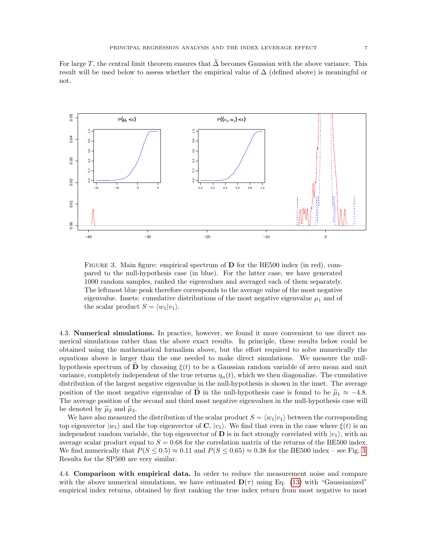For large T, the central limit theorem ensures that  $\Delta$  becomes Gaussian with the above variance. This result will be used below to assess whether the empirical value of ∆ (defined above) is meaningful or not.



<span id="page-6-0"></span>FIGURE 3. Main figure: empirical spectrum of  $D$  for the BE500 index (in red), compared to the null-hypothesis case (in blue). For the latter case, we have generated 1000 random samples, ranked the eigenvalues and averaged each of them separately. The leftmost blue peak therefore corresponds to the average value of the most negative eigenvalue. Insets: cumulative distributions of the most negative eigenvalue  $\mu_1$  and of the scalar product  $S = \langle w_1|v_1\rangle$ .

4.3. Numerical simulations. In practice, however, we found it more convenient to use direct numerical simulations rather than the above exact results. In principle, these results below could be obtained using the mathematical formalism above, but the effort required to solve numerically the equations above is larger than the one needed to make direct simulations. We measure the nullhypothesis spectrum of D by choosing  $\xi(t)$  to be a Gaussian random variable of zero mean and unit variance, completely independent of the true returns  $\eta_{\alpha}(t)$ , which we then diagonalize. The cumulative distribution of the largest negative eigenvalue in the null-hypothesis is shown in the inset. The average position of the most negative eigenvalue of  $\hat{\mathbf{D}}$  in the null-hypothesis case is found to be  $\tilde{\mu}_1 \approx -4.8$ . The average position of the second and third most negative eigenvalues in the null-hypothesis case will be denoted by  $\tilde{\mu}_2$  and  $\tilde{\mu}_3$ .

We have also measured the distribution of the scalar product  $S = \langle w_1|v_1 \rangle$  between the corresponding top eigenvector  $|w_1\rangle$  and the top eigenvector of **C**,  $|v_1\rangle$ . We find that even in the case where  $\xi(t)$  is an independent random variable, the top eigenvector of **D** is in fact strongly correlated with  $|v_1\rangle$ , with an average scalar product equal to  $S = 0.68$  for the correlation matrix of the returns of the BE500 index. We find numerically that  $P(S \le 0.5) \approx 0.11$  and  $P(S \le 0.65) \approx 0.38$  for the BE500 index – see Fig. [3.](#page-6-0) Results for the SP500 are very similar.

4.4. Comparison with empirical data. In order to reduce the measurement noise and compare with the above numerical simulations, we have estimated  $\mathbf{D}(\tau)$  using Eq. [\(13\)](#page-4-3) with "Gaussianized" empirical index returns, obtained by first ranking the true index return from most negative to most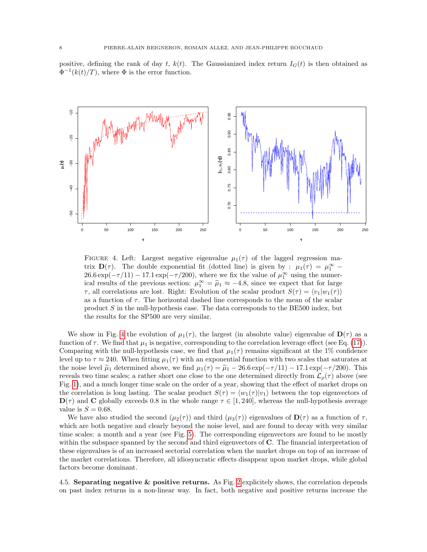positive, defining the rank of day t,  $k(t)$ . The Gaussianized index return  $I_G(t)$  is then obtained as  $\Phi^{-1}(k(t)/T)$ , where  $\Phi$  is the error function.



<span id="page-7-0"></span>FIGURE 4. Left: Largest negative eigenvalue  $\mu_1(\tau)$  of the lagged regression matrix  $\mathbf{D}(\tau)$ . The double exponential fit (dotted line) is given by :  $\mu_1(\tau) = \mu_1^{\infty}$  $26.6 \exp(-\tau/11) - 17.1 \exp(-\tau/200)$ , where we fix the value of  $\mu_1^{\infty}$  using the numerical results of the previous section:  $\mu_1^{\infty} = \tilde{\mu}_1 \approx -4.8$ , since we expect that for large  $\tau$ , all correlations are lest. Bight: Evalution of the scalar product  $S(\tau) = \mu_1 |\mu_1(\tau)|$ .  $\tau$ , all correlations are lost. Right: Evolution of the scalar product  $S(\tau) = \langle v_1|w_1(\tau) \rangle$ as a function of  $\tau$ . The horizontal dashed line corresponds to the mean of the scalar product S in the null-hypothesis case. The data corresponds to the BE500 index, but the results for the SP500 are very similar.

We show in Fig. [4](#page-7-0) the evolution of  $\mu_1(\tau)$ , the largest (in absolute value) eigenvalue of  $\mathbf{D}(\tau)$  as a function of  $\tau$ . We find that  $\mu_1$  is negative, corresponding to the correlation leverage effect (see Eq. [\(17\)](#page-4-4)). Comparing with the null-hypothesis case, we find that  $\mu_1(\tau)$  remains significant at the 1% confidence level up to  $\tau \approx 240$ . When fitting  $\mu_1(\tau)$  with an exponential function with two scales that saturates at the noise level  $\tilde{\mu}_1$  determined above, we find  $\mu_1(\tau) = \tilde{\mu}_1 - 26.6 \exp(-\tau/11) - 17.1 \exp(-\tau/200)$ . This reveals two time scales; a rather short one close to the one determined directly from  $\mathcal{L}_{\rho}(\tau)$  above (see Fig. [1\)](#page-2-0), and a much longer time scale on the order of a year, showing that the effect of market drops on the correlation is long lasting. The scalar product  $S(\tau) = \langle w_1(\tau) |v_1 \rangle$  between the top eigenvectors of  $\mathbf{D}(\tau)$  and C globally exceeds 0.8 in the whole range  $\tau \in [1, 240]$ , whereas the null-hypothesis average value is  $S = 0.68$ .

We have also studied the second  $(\mu_2(\tau))$  and third  $(\mu_3(\tau))$  eigenvalues of  $\mathbf{D}(\tau)$  as a function of  $\tau$ , which are both negative and clearly beyond the noise level, and are found to decay with very similar time scales: a month and a year (see Fig. [5\)](#page-8-0). The corresponding eigenvectors are found to be mostly within the subspace spanned by the second and third eigenvectors of **C**. The financial interpretation of these eigenvalues is of an increased sectorial correlation when the market drops on top of an increase of the market correlations. Therefore, all idiosyncratic effects disappear upon market drops, while global factors become dominant.

4.5. Separating negative & positive returns. As Fig. [2](#page-3-0) explicitely shows, the correlation depends on past index returns in a non-linear way. In fact, both negative and positive returns increase the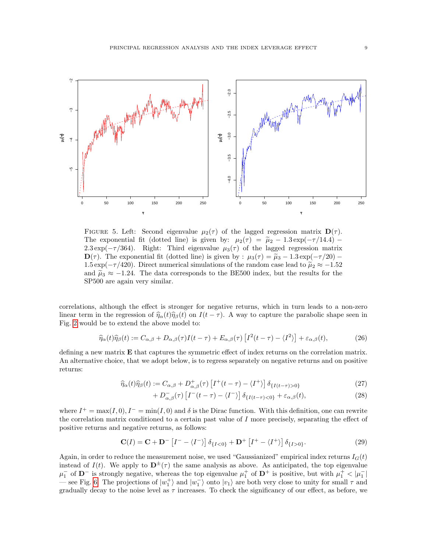

<span id="page-8-0"></span>FIGURE 5. Left: Second eigenvalue  $\mu_2(\tau)$  of the lagged regression matrix  $\mathbf{D}(\tau)$ . The exponential fit (dotted line) is given by:  $\mu_2(\tau) = \tilde{\mu}_2 - 1.3 \exp(-\tau/14.4)$  – 2.3 exp( $-\tau/364$ ). Right: Third eigenvalue  $\mu_3(\tau)$  of the lagged regression matrix  $\mathbf{D}(\tau)$ . The exponential fit (dotted line) is given by :  $\mu_3(\tau) = \tilde{\mu}_3 - 1.3 \exp(-\tau/20)$ 1.5 exp( $-\tau/420$ ). Direct numerical simulations of the random case lead to  $\tilde{\mu}_2 \approx -1.52$ and  $\tilde{\mu}_3 \approx -1.24$ . The data corresponds to the BE500 index, but the results for the SP500 are again very similar.

correlations, although the effect is stronger for negative returns, which in turn leads to a non-zero linear term in the regression of  $\hat{\eta}_{\alpha}(t)\hat{\eta}_{\beta}(t)$  on  $I(t - \tau)$ . A way to capture the parabolic shape seen in Fig. [2](#page-3-0) would be to extend the above model to:

$$
\widehat{\eta}_{\alpha}(t)\widehat{\eta}_{\beta}(t) := C_{\alpha,\beta} + D_{\alpha,\beta}(\tau)I(t-\tau) + E_{\alpha,\beta}(\tau)\left[I^2(t-\tau) - \langle I^2 \rangle\right] + \varepsilon_{\alpha,\beta}(t),\tag{26}
$$

defining a new matrix E that captures the symmetric effect of index returns on the correlation matrix. An alternative choice, that we adopt below, is to regress separately on negative returns and on positive returns:

$$
\widehat{\eta}_{\alpha}(t)\widehat{\eta}_{\beta}(t) := C_{\alpha,\beta} + D_{\alpha,\beta}^{+}(\tau) \left[ I^{+}(t-\tau) - \langle I^{+} \rangle \right] \delta_{\{I(t-\tau)>0\}} \tag{27}
$$

$$
+ D_{\alpha,\beta}^-(\tau) \left[ I^-(t-\tau) - \langle I^- \rangle \right] \delta_{\{I(t-\tau) < 0\}} + \varepsilon_{\alpha,\beta}(t),\tag{28}
$$

where  $I^+ = \max(I, 0), I^- = \min(I, 0)$  and  $\delta$  is the Dirac function. With this definition, one can rewrite the correlation matrix conditioned to a certain past value of  $I$  more precisely, separating the effect of positive returns and negative returns, as follows:

$$
\mathbf{C}(I) = \mathbf{C} + \mathbf{D}^{-} \left[ I^{-} - \langle I^{-} \rangle \right] \delta_{\{I < 0\}} + \mathbf{D}^{+} \left[ I^{+} - \langle I^{+} \rangle \right] \delta_{\{I > 0\}}.
$$
\n(29)

Again, in order to reduce the measurement noise, we used "Gaussianized" empirical index returns  $I_G(t)$ instead of  $I(t)$ . We apply to  $\mathbf{D}^{\pm}(\tau)$  the same analysis as above. As anticipated, the top eigenvalue  $\mu_1^-$  of  $\mathbf{D}^-$  is strongly negative, whereas the top eigenvalue  $\mu_1^+$  of  $\mathbf{D}^+$  is positive, but with  $\mu_1^+$  <  $|\mu_1^-|$ — see Fig. [6.](#page-9-0) The projections of  $|w_1^+\rangle$  and  $|w_1^-\rangle$  onto  $|v_1\rangle$  are both very close to unity for small  $\tau$  and gradually decay to the noise level as  $\tau$  increases. To check the significancy of our effect, as before, we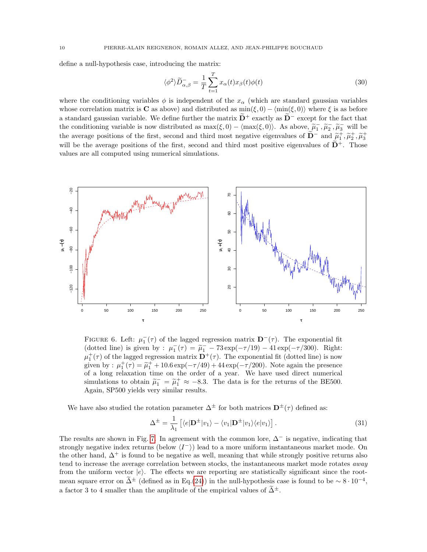define a null-hypothesis case, introducing the matrix:

$$
\langle \phi^2 \rangle \widetilde{D}_{\alpha,\beta}^- = \frac{1}{T} \sum_{t=1}^T x_\alpha(t) x_\beta(t) \phi(t) \tag{30}
$$

where the conditioning variables  $\phi$  is independent of the  $x_{\alpha}$  (which are standard gaussian variables whose correlation matrix is C as above) and distributed as  $min(\xi, 0) - \langle min(\xi, 0) \rangle$  where  $\xi$  is as before a standard gaussian variable. We define further the matrix  $D^+$  exactly as  $D^-$  except for the fact that the conditioning variable is now distributed as  $\max(\xi, 0) - \langle \max(\xi, 0) \rangle$ . As above,  $\widetilde{\mu}_1^-, \widetilde{\mu}_2^-, \widetilde{\mu}_3^-$  will be the average positions of the first, second and third most negative eigenvalues of  $\widetilde{\mathbf{D}}^-$  and  $\widetilde{\mu}_1^+$ ,  $\widetilde{\mu}_2^+$ ,  $\widetilde{\mu}_3^+$ will be the average positions of the first, second and third most positive eigenvalues of  $\tilde{D}^+$ . Those values are all computed using numerical simulations.



<span id="page-9-0"></span>FIGURE 6. Left:  $\mu_1^-(\tau)$  of the lagged regression matrix  $\mathbf{D}^-(\tau)$ . The exponential fit (dotted line) is given by :  $\mu_1^-(\tau) = \tilde{\mu}_1^- - 73 \exp(-\tau/19) - 41 \exp(-\tau/300)$ . Right:<br> $\mu_1^+(\tau)$  of the lagged personian matrix  $\mathbf{D}^+(\tau)$ . The expendition of the line is now  $\mu_1^+(\tau)$  of the lagged regression matrix  $\mathbf{D}^+(\tau)$ . The exponential fit (dotted line) is now given by :  $\mu_1^+(\tau) = \tilde{\mu}_1^+ + 10.6 \exp(-\tau/49) + 44 \exp(-\tau/200)$ . Note again the presence of a long relaxation time on the order of a year. We have used direct numerical simulations to obtain  $\tilde{\mu}_1 = \tilde{\mu}_1^+ \approx -8.3$ . The data is for the returns of the BE500. Again, SP500 yields very similar results.

We have also studied the rotation parameter  $\Delta^{\pm}$  for both matrices  $\mathbf{D}^{\pm}(\tau)$  defined as:

$$
\Delta^{\pm} = \frac{1}{\lambda_1} \left[ \langle e | \mathbf{D}^{\pm} | v_1 \rangle - \langle v_1 | \mathbf{D}^{\pm} | v_1 \rangle \langle e | v_1 \rangle \right]. \tag{31}
$$

The results are shown in Fig. [7.](#page-10-0) In agreement with the common lore,  $\Delta^-$  is negative, indicating that strongly negative index returns (below  $\langle I^{-} \rangle$ ) lead to a more uniform instantaneous market mode. On the other hand,  $\Delta^+$  is found to be negative as well, meaning that while strongly positive returns also tend to increase the average correlation between stocks, the instantaneous market mode rotates *away* from the uniform vector  $|e\rangle$ . The effects we are reporting are statistically significant since the rootmean square error on  $\tilde{\Delta}^{\pm}$  (defined as in Eq.[\(24\)](#page-5-0)) in the null-hypothesis case is found to be ~  $8 \cdot 10^{-4}$ , a factor 3 to 4 smaller than the amplitude of the empirical values of  $\widetilde{\Delta}^{\pm}$ .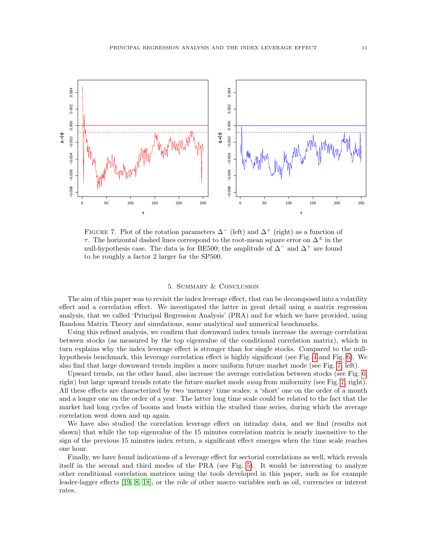

<span id="page-10-0"></span>FIGURE 7. Plot of the rotation parameters  $\Delta^-$  (left) and  $\Delta^+$  (right) as a function of  $\tau$ . The horizontal dashed lines correspond to the root-mean square error on  $\Delta^{\pm}$  in the null-hypothesis case. The data is for BE500; the amplitude of  $\Delta^-$  and  $\Delta^+$  are found to be roughly a factor 2 larger for the SP500.

# 5. Summary & Conclusion

The aim of this paper was to revisit the index leverage effect, that can be decomposed into a volatility effect and a correlation effect. We investigated the latter in great detail using a matrix regression analysis, that we called 'Principal Regression Analysis' (PRA) and for which we have provided, using Random Matrix Theory and simulations, some analytical and numerical benchmarks.

Using this refined analysis, we confirm that downward index trends increase the average correlation between stocks (as measured by the top eigenvalue of the conditional correlation matrix), which in turn explains why the index leverage effect is stronger than for single stocks. Compared to the nullhypothesis benchmark, this leverage correlation effect is highly significant (see Fig. [4](#page-7-0) and Fig. [6\)](#page-9-0). We also find that large downward trends implies a more uniform future market mode (see Fig. [7,](#page-10-0) left).

Upward trends, on the other hand, also increase the average correlation between stocks (see Fig. [6,](#page-9-0) right) but large upward trends rotate the future market mode away from uniformity (see Fig. [7,](#page-10-0) right). All these effects are characterized by two 'memory' time scales: a 'short' one on the order of a month and a longer one on the order of a year. The latter long time scale could be related to the fact that the market had long cycles of booms and busts within the studied time series, during which the average correlation went down and up again.

We have also studied the correlation leverage effect on intraday data, and we find (results not shown) that while the top eigenvalue of the 15 minutes correlation matrix is nearly insensitive to the sign of the previous 15 minutes index return, a significant effect emerges when the time scale reaches one hour.

Finally, we have found indications of a leverage effect for sectorial correlations as well, which reveals itself in the second and third modes of the PRA (see Fig. [5\)](#page-8-0). It would be interesting to analyze other conditional correlation matrices using the tools developed in this paper, such as for example leader-lagger effects [\[19,](#page-11-20) [8,](#page-11-21) [18\]](#page-11-22), or the role of other macro variables such as oil, currencies or interest rates.